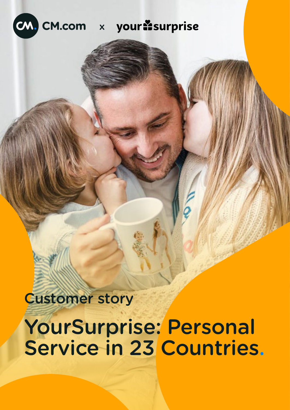

Customer story

# YourSurprise: Personal Service in 23 Countries.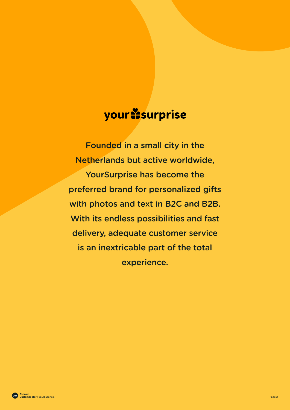## your **Esurprise**

Founded in a small city in the Netherlands but active worldwide, YourSurprise has become the preferred brand for personalized gifts with photos and text in B2C and B2B. With its endless possibilities and fast delivery, adequate customer service is an inextricable part of the total experience.

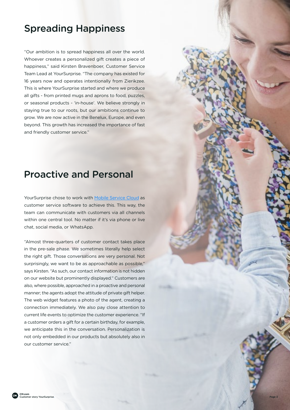#### Spreading Happiness

"Our ambition is to spread happiness all over the world. Whoever creates a personalized gift creates a piece of happiness," said Kirsten Bravenboer, Customer Service Team Lead at YourSurprise. "The company has existed for 16 years now and operates intentionally from Zierikzee. This is where YourSurprise started and where we produce all gifts - from printed mugs and aprons to food, puzzles, or seasonal products - 'in-house'. We believe strongly in staying true to our roots, but our ambitions continue to grow. We are now active in the Benelux, Europe, and even beyond. This growth has increased the importance of fast and friendly customer service."

#### Proactive and Personal

YourSurprise chose to work with [Mobile Service Cloud](https://www.cm.com/mobile-service-cloud/) as customer service software to achieve this. This way, the team can communicate with customers via all channels within one central tool. No matter if it's via phone or live chat, social media, or WhatsApp.

"Almost three-quarters of customer contact takes place in the pre-sale phase. We sometimes literally help select the right gift. Those conversations are very personal. Not surprisingly, we want to be as approachable as possible," says Kirsten. "As such, our contact information is not hidden on our website but prominently displayed." Customers are also, where possible, approached in a proactive and personal manner; the agents adopt the attitude of private gift helper. The web widget features a photo of the agent, creating a connection immediately. We also pay close attention to current life events to optimize the customer experience. "If a customer orders a gift for a certain birthday, for example, we anticipate this in the conversation. Personalization is not only embedded in our products but absolutely also in our customer service."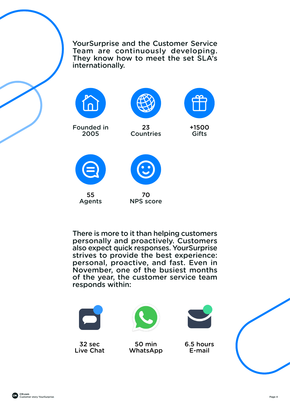YourSurprise and the Customer Service Team are continuously developing. They know how to meet the set SLA's internationally.



Founded in 2005





23 **Countries** 

+1500

Gifts



55 Agents



70 NPS score

There is more to it than helping customers personally and proactively. Customers also expect quick responses. YourSurprise strives to provide the best experience: personal, proactive, and fast. Even in November, one of the busiest months of the year, the customer service team responds within:



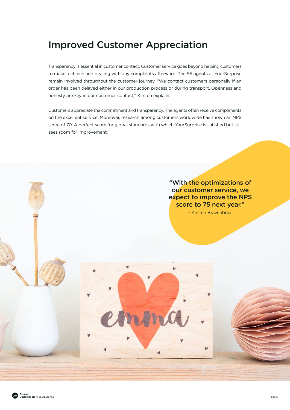#### Improved Customer Appreciation

Transparency is essential in customer contact. Customer service goes beyond helping customers to make a choice and dealing with any complaints afterward. The 55 agents at YourSurprise remain involved throughout the customer journey. "We contact customers personally if an order has been delayed either in our production process or during transport. Openness and honesty are key in our customer contact," Kirsten explains.

Customers appreciate the commitment and transparency. The agents often receive compliments on the excellent service. Moreover, research among customers worldwide has shown an NPS score of 70. A perfect score for global standards with which YourSurprise is satisfied but still sees room for improvement.

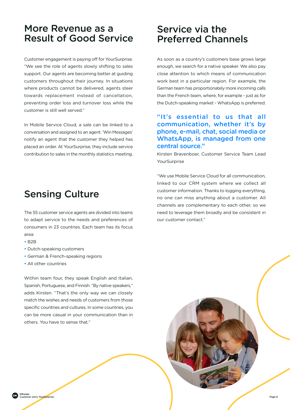#### More Revenue as a Result of Good Service

Customer engagement is paying off for YourSurprise. "We see the role of agents slowly shifting to sales support. Our agents are becoming better at guiding customers throughout their journey. In situations where products cannot be delivered, agents steer towards replacement instead of cancellation, preventing order loss and turnover loss while the customer is still well served."

In Mobile Service Cloud, a sale can be linked to a conversation and assigned to an agent. 'Win Messages' notify an agent that the customer they helped has placed an order. At YourSurprise, they include service contribution to sales in the monthly statistics meeting.

#### Sensing Culture

The 55 customer service agents are divided into teams to adapt service to the needs and preferences of consumers in 23 countries. Each team has its focus  $area:$ 

- B2B
- Dutch-speaking customers
- German & French-speaking regions
- All other countries

Within team four, they speak English and Italian, Spanish, Portuguese, and Finnish. "By native speakers," adds Kirsten. "That's the only way we can closely match the wishes and needs of customers from those specific countries and cultures. In some countries, you can be more casual in your communication than in others. You have to sense that."

#### Service via the Preferred Channels

As soon as a country's customers base grows large enough, we search for a native speaker. We also pay close attention to which means of communication work best in a particular region. For example, the German team has proportionately more incoming calls than the French team, where, for example - just as for the Dutch-speaking market - WhatsApp is preferred.

#### "It's essential to us that all communication, whether it's by phone, e-mail, chat, social media or WhatsApp, is managed from one central source."

Kirsten Bravenboer, Customer Service Team Lead YourSurprise

"We use Mobile Service Cloud for all communication, linked to our CRM system where we collect all customer information. Thanks to logging everything, no one can miss anything about a customer. All channels are complementary to each other, so we need to leverage them broadly and be consistent in our customer contact."

**CM.com**  Customer story YourSurprise. Page 6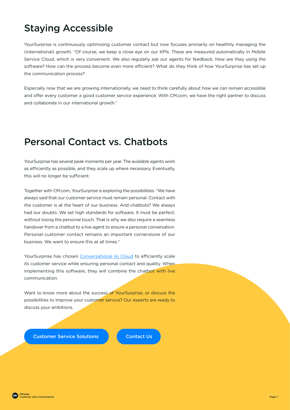### Staying Accessible

YourSurprise is continuously optimizing customer contact but now focuses primarily on healthily managing the (international) growth. "Of course, we keep a close eye on our KPIs. These are measured automatically in Mobile Service Cloud, which is very convenient. We also regularly ask our agents for feedback. How are they using the software? How can the process become even more efficient? What do they think of how YourSurprise has set up the communication process?

Especially now that we are growing internationally, we need to think carefully about how we can remain accessible and offer every customer a good customer service experience. With CM.com, we have the right partner to discuss and collaborate in our international growth."

#### Personal Contact vs. Chatbots

YourSurprise has several peak moments per year. The available agents work as efficiently as possible, and they scale up where necessary. Eventually, this will no longer be sufficient.

Together with CM.com, YourSurprise is exploring the possibilities. "We have always said that our customer service must remain personal. Contact with the customer is at the heart of our business. And chatbots? We always had our doubts. We set high standards for software. It must be perfect; without losing the personal touch. That is why we also require a seamless handover from a chatbot to a live agent to ensure a personal conversation. Personal customer contact remains an important cornerstone of our business. We want to ensure this at all times."

YourSurprise has chosen [Conversational AI Cloud](https://www.cm.com/conversational-ai-cloud/) to efficiently scale its customer service while ensuring personal contact and quality. When implementing this software, they will combine the chatbot with live communication.

Want to know more about the success of YourSurprise, or discuss the possibilities to improve your customer service? Our experts are ready to discuss your ambitions.

**[Customer Service Solutions](https://www.cm.com/departments/customer-service/) [Contact Us](https://www.cm.com/departments/customer-service/#4e2f17f2)**